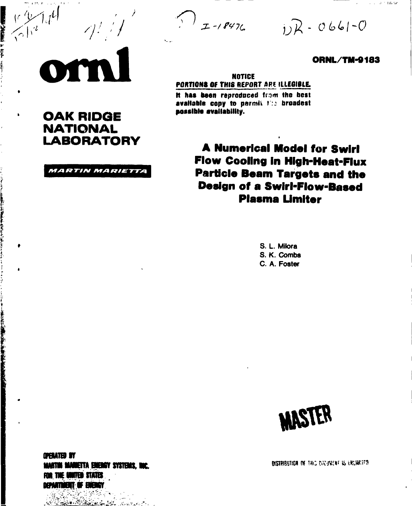$\frac{1}{1} - 18476$ 

 $jR - 0661 - 0$ 

## **ORNL/TM-9183**

 $\tau_{\rm c} \tau_{\rm c} = 0.2$  . This for

**NOTICE** PORTIONS OF THIS REPORT ARE ILLEGIBLE.

It has been reproduced from the best available copy to permit for broadest nossible evaliability.

> **A Numerical Model for Swirl Flow Cooling in High-Heat-Flux Particle Beam Targets and the Design of a Swirl-Flow-Based Plasma Limiter**

> > S. L. Milora S. K. Combs C. A. Foster



**OPERATED BY** MARTIN MARKETTA ENERGY SYSTEMS. INC. FOR THE UNITED STATES DEPARTMENT OF ENERGY

**PERSONAL PROPERTY** 

وهمي وتصدع تلابينا مكان

**REAGAN COMPANY** 

 $\bullet$ 

 $\blacksquare$ 

 $\bullet$ 

**RESERVE AND RESERVE AND RESERVE** 

**OAK RIDGE** 

**NATIONAL** 

**LABORATORY** 

**MARTIN MARIETTA**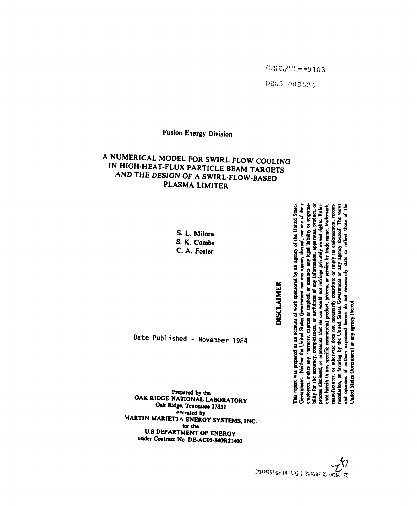Government. Neither the United States Government nor any agency thereof, nor any of the r

This report was prepared as an account of work sponsored by an agency of the United States

**DISCLAIMER** 

bility for the accuracy, completeness, or usefulness of any information, apparatus, product, or

varranty, express or implied,

employees, makes any

process disclosed, or represents that its use would not infringe privately owned rights. Reference herein to any specific commercial product, process, or service by trade name, trademark, nendation, or favoring by the United States Government or any agency thereof. The views opinions of authors expressed herein do not necessarily state or reflect those of the

Jnited States Government or any agency thereof.

g

nantiacturer, or otherwise does not necessarily constitute or imply its endorsement,

recom:

or assumes any legal liability or responsi-

Date Published - November 1984

Prepared by the OAK RIDGE NATIONAL LABORATORY Oak Ridge, Tennessee 37831 merated by MARTIN MARIETIA ENERGY SYSTEMS, INC. for the **U.S DEPARTMENT OF ENERGY** under Contract No. DE-AC05-840R21400

## A NUMERICAL MODEL FOR SWIRL FLOW COOLING IN HIGH-HEAT-FLUX PARTICLE BEAM TARGETS AND THE DESIGN OF A SWIRL-FLOW-BASED PLASMA LIMITER

S. L. Milora S. K. Combs

C. A. Foster

**Fusion Energy Division** 

ORIL/TH = - 9163

DE85 003624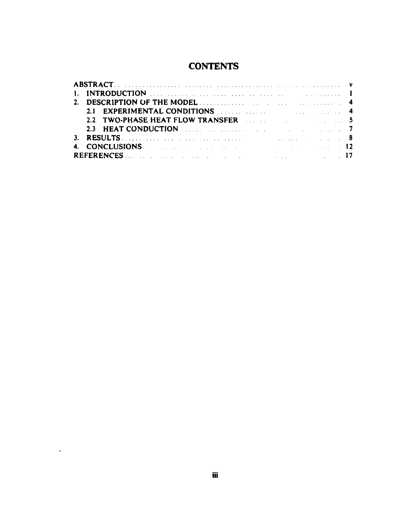# **CONTENTS**

| 2.1 EXPERIMENTAL CONDITIONS <b>Example 2.1</b> EXPERIMENTAL CONDITIONS                                                                                                                                                         |  |  |
|--------------------------------------------------------------------------------------------------------------------------------------------------------------------------------------------------------------------------------|--|--|
| 2.2 TWO-PHASE HEAT FLOW TRANSFER AND RESIDENCE AND STATE AND RESIDENCE AND RESIDENCE ASSESSMENT OF A STATE OF STATE AND RESIDENCE ASSESSMENT OF A STATE OF A STATE OF A STATE OF A STATE OF A STATE OF A STATE OF A STATE OF A |  |  |
| 2.3 HEAT CONDUCTION DELIVERED AND LODGED AT A 2.3 HEAT CONDUCTION                                                                                                                                                              |  |  |
|                                                                                                                                                                                                                                |  |  |
| 4. CONCLUSIONS. 2014. 2015. The concentration of the concentration of the concentration of the concentration of the concentration of the concentration of the concentration of the concentration of the concentration of the c |  |  |
|                                                                                                                                                                                                                                |  |  |

 $\sim$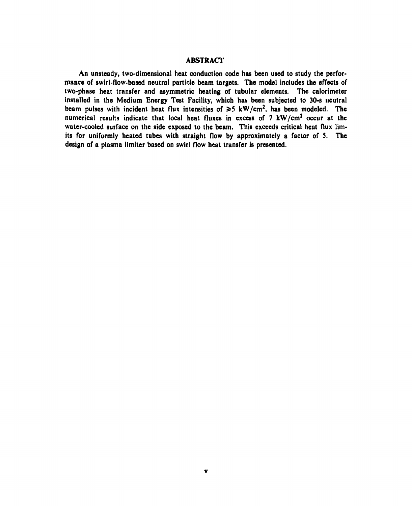## **ABSTRACT**

An **unsteady, two-dimensional heat conduction code has been used to study the performance of swirl-flow-based neutral particle beam targets. The model includes the effects of two-phase heat transfer and asymmetric heating of tubular elements. The calorimeter installed** in **the Medium Energy Test Facility, which has been subjected to 30-s neutral**  beam pulses with incident heat flux intensities of  $\geq 5$  kW/cm<sup>2</sup>, has been modeled. The **numerical results indicate that local heat fluxes** in **excess of 7 kW/cm<sup>2</sup> occur at the water-cooled surface on the side exposed to the beam. This exceeds critical heat flux limits for uniformly heated tubes with straight flow by approximately a factor of 5. The design of a plasma limiter based on swirl flow heat transfer is presented.**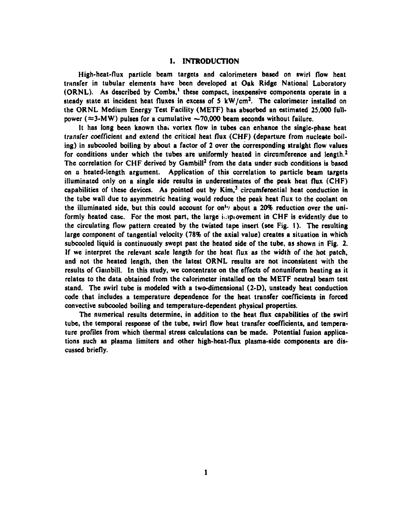## 1. INTRODUCTION

**High-heat-flux particle beam targets and calorimeters based on swirl flow heat transfer in tubular elements have been developed at Oak Ridge National Laboratory**  (ORNL). As described by Combs,<sup>1</sup> these compact, inexpensive components operate in a **steady state at incident heat fluxes in excess of S kW/cm<sup>2</sup> . The calorimeter installed on the ORNL Medium Energy Test Facility (METF) has absorbed an estimated 25,000 full**power ( $\approx$ 3-MW) pulses for a cumulative  $\sim$ 70,000 beam seconds without failure.

**It has long been known thai vortex flow in tubes can enhance the single-phase heat transfer coefficient and extend the critical heat flux (CHF) (departure from nucleate boiling) in subcooled boiling by about a factor of 2 over the corresponding straight flow values for conditions under which the tubes are uniformly heated in circumference and length.2**  The correlation for CHF derived by Gambill<sup>2</sup> from the data under such conditions is based **on a heated-length argument. Application of this correlation to particle beam targets illuminated only on a single side results in underestimates of the peak heat flux (CHF)**  capabilities of these devices. As pointed out by Kim,<sup>3</sup> circumferential heat conduction in **the tube wall due to asymmetric heating would reduce the peak heat flux to the coolant on the illuminated side, but this could account for on'v about a 20% reduction over the uniformly heated case. For the most part, the large iuipiovement in CHF is evidently due to the circulating flow pattern created by the twisted tape insert (see Fig. I). The resulting large component of tangential velocity (78% of the axial value) creates a situation in which subcooled liquid is continuously swept past the heated side of the tube, as shown in Fig. 2. If we interpret the relevant scale length for the heat flux as the width of the hot patch, and not the heated length, then the latest ORNL results are not inconsistent with the results of Gambill. In this study, we concentrate on the effects of nonuniform heating as it relates to the data obtained from the calorimeter installed on the METF neutral beam test stand. The swirl tube is modeled with a two-dimensional (2-D), unsteady heat conduction code that includes a temperature dependence for the heat transfer coefficients in forced convective subcooled boiling and temperature-dependent physical properties.** 

**The numerical results determine, in addition to the heat flux capabilities of the swirl tube, the temporal response of the tube, swirl flow heat transfer coefficients, and temperature profiles from which thermal stress calculations can be made. Potential fusion applications such as plasma limiters and other high-heat-flux plasma-side components are discussed briefly.**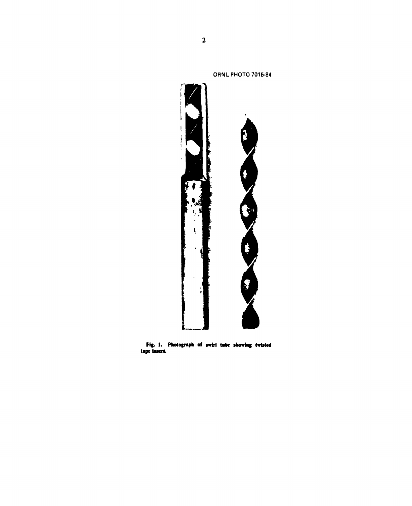

Fig. 1. Photograph of swirl tube showing twisted tape insert.

**ORNL PHOTO 7015-84**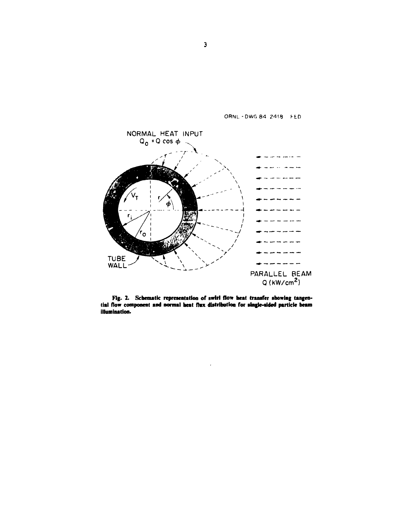

Fig. 2. Schematic representation of swirl flow beat transfer showing tangential flow component and normal heat flax distribution for single-sided particle beam illumination.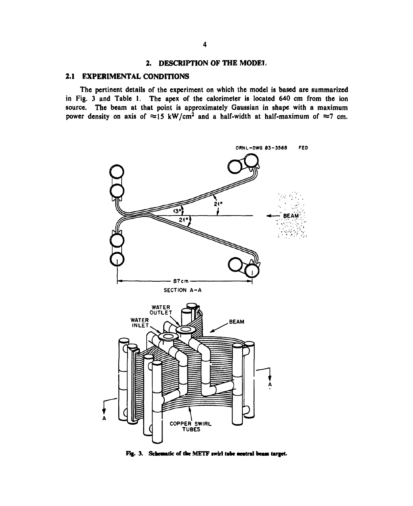## **2. DESCRIPTION OF THE MODE!,**

## **2.1 EXPERIMENTAL CONDITIONS**

**The pertinent details of the experiment on which the model is based are summarized in Fig. 3 and Table 1. The apex of the calorimeter is located 640 cm from the ion source. The beam at that point is approximately Gaussian in shape with a maximum**  power density on axis of  $\approx$ 15 kW/cm<sup>2</sup> and a half-width at half-maximum of  $\approx$ 7 cm.



Fig. 3. Schematic of the METF swirl tube neutral beam target.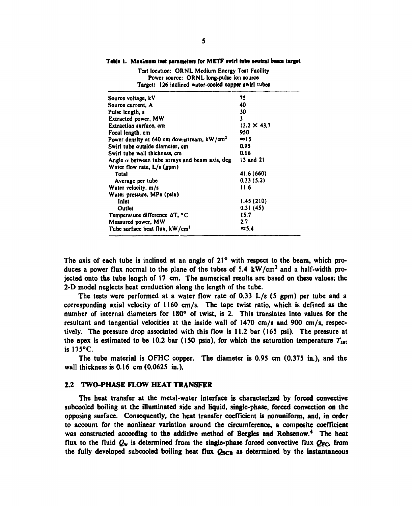| Target: 126 inclined water-cooled copper swirl tubes   |                    |  |  |
|--------------------------------------------------------|--------------------|--|--|
| Source voltage, kV                                     | 75                 |  |  |
| Source current, A                                      | 40                 |  |  |
| Pulse length, s                                        | 30                 |  |  |
| <b>Extracted power, MW</b>                             | 3                  |  |  |
| <b>Extraction surface, cm</b>                          | $13.2 \times 43.7$ |  |  |
| Focal length, cm                                       | 950                |  |  |
| Power density at 640 cm downstream, kW/cm <sup>2</sup> | ≈15                |  |  |
| Swirl tube outside diameter, em                        | 0.95               |  |  |
| Swirl tube wall thickness, cm                          | 0.16               |  |  |
| Angle $\alpha$ between tube arrays and beam axis, deg  | 13 and 21          |  |  |
| Water flow rate, L/s (gpm)                             |                    |  |  |
| Total                                                  | 41.6 (660)         |  |  |
| Average per tube                                       | 0.33(5.2)          |  |  |
| Water velocity, m/s                                    | 11.6               |  |  |
| Water pressure, MPa (psia)                             |                    |  |  |
| Inlet                                                  | 1.45(210)          |  |  |
| Outlet                                                 | 0.31(45)           |  |  |
| Temperature difference AT, °C                          | 15.7               |  |  |
| Measured power, MW                                     | 2.7                |  |  |
| Tube surface heat flux, kW/cm <sup>2</sup>             | $\approx$ 5.4      |  |  |

## Table 1. Maximum test parameters for METF swirl tube neutral beam target Test location: ORNL Medium Energy Test Facility

Power source: ORNL long-pulse ion source

**The axis of each tube is inclined at an angle of 21° with respect to the beam, which produces a power flux normal to the plane of the tubes of 5.4 kW/cm<sup>2</sup> and a half-width projected onto the tube length of 17 cm. The numerical results are based on these values; the 2-D model neglects heat conduction along the length of the tube.** 

**The tests were performed at a water flow rate of 0.33 L/s (S gpm) per tube and a corresponding axial velocity of 1160 cm/s. The tape twist ratio, which is defined as the number of interna) diameters for 180° of twist, is 2. This translates into values for the resultant and tangential velocities at the inside wall of 1470 cm/s and 900 cm/s, respectively. The pressure drop associated with this flow is 11.2 bar (165 psi). The pressure at**  the apex is estimated to be 10.2 bar (150 psia), for which the saturation temperature  $T_{sat}$ **is 175°C.** 

**The tube material is OFHC copper. The diameter is 0.95 cm (0.375 in.), and the wall thickness is 0.16 cm (0.0625 in.).** 

#### **2.2 TWO-PHASE FLOW HEAT TRANSFER**

**The heat transfer at the metal-water interface is characterized by forced convective subcooled boiling at the illuminated side and liquid, single-phase, forced convection on the opposing surface. Consequently, the heat transfer coefficient is nonuniform, and, in order to account for the nonlinear variation around the circumference, a composite coefficient was constructed according to the additive method of Bergles and Rohsenow.<sup>4</sup> The heat**  flux to the fluid  $Q_w$  is determined from the single-phase forced convective flux  $Q_{FC}$ , from the fully developed subcooled boiling heat flux  $Q_{SCB}$  as determined by the instantaneous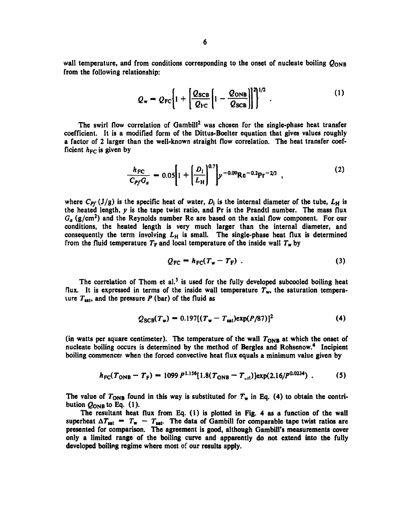wall temperature, and from conditions corresponding to the onset of nucleate boiling  $Q_{\text{ONB}}$ **from the following relationship:** 

$$
Q_{\rm w} = Q_{\rm FC} \bigg[ 1 + \bigg[ \frac{Q_{\rm SCB}}{Q_{\rm FC}} \bigg[ 1 - \frac{Q_{\rm ONB}}{Q_{\rm SCB}} \bigg] \bigg]^{2/2} \ . \tag{1}
$$

**The swirl flow correlation of Gambill<sup>2</sup> was chosen for the single-phase heat transfer coefficient. It is a modified form of the Dittus-Boelter equation that gives values roughly a factor of 2 larger than the well-known straight flow correlation. The heat transfer coef**ficient  $h_{FC}$  is given by

$$
\frac{h_{\rm FC}}{C_{\rm Pf}G_a} = 0.05 \left[ 1 + \left( \frac{D_1}{L_{\rm H}} \right)^{0.7} \right] y^{-0.09} \text{Re}^{-0.2} \text{Pr}^{-2/3} \tag{2}
$$

where  $C_{\text{Pf}} (J/g)$  is the specific heat of water,  $D_i$  is the internal diameter of the tube,  $L_H$  is **the heated length,** *y* **is the tape twist ratio, and Pr is the Prandtl number. The mass flux**  *Ga* **(g/cm<sup>2</sup> ) and the Reynolds number Re are based on the axial flow component. For our conditions, the heated length is very much larger than the internal diameter, and consequently the term involving** *Lh* **is small. The single-phase heat flux is determined**  from the fluid temperature  $T_F$  and local temperature of the inside wall  $T_w$  by

$$
Q_{\rm FC} = h_{\rm FC}(T_{\rm w} - T_{\rm F}) \tag{3}
$$

The correlation of Thom et al.<sup>5</sup> is used for the fully developed subcooled boiling heat flux. It is expressed in terms of the inside wall temperature  $T_w$ , the saturation temperature  $T_{\text{sat}}$ , and the pressure  $P$  (bar) of the fluid as

$$
Q_{\text{SCB}}(T_{\text{w}}) = 0.197[(T_{\text{w}} - T_{\text{sat}})\exp(P/87)]^2
$$
 (4)

(in watts per square centimeter). The temperature of the wall  $T_{ONB}$  at which the onset of **nucleate boiling occurs is determined by the method of Bergles and Rohsenow.<sup>4</sup> Incipient boiling commence; when the forced convective heat flux equals a minimum value given by** 

$$
h_{\rm FC}(T_{\rm ONB} - T_{\rm F}) = 1099 P^{1.156} [1.8(T_{\rm ONB} - T_{\rm at})] \exp(2.16/P^{0.0234}). \tag{5}
$$

The value of  $T_{\text{ONB}}$  found in this way is substituted for  $T_{\text{w}}$  in Eq. (4) to obtain the contribution  $Q_{\text{ONB}}$  to Eq. (1).

**The resultant heat flux from Eq. (1) is plotted in Fig. 4 as a function of the wall**  superheat  $\Delta T_{\text{sat}} = T_{\text{w}} - T_{\text{sat}}$ . The data of Gambill for comparable tape twist ratios are **presented for comparison. The agreement is good, although Gambill's measurements cover only a limited range of the boiling curve and apparently do not extend into the fully developed boiling regime where most of our results apply.**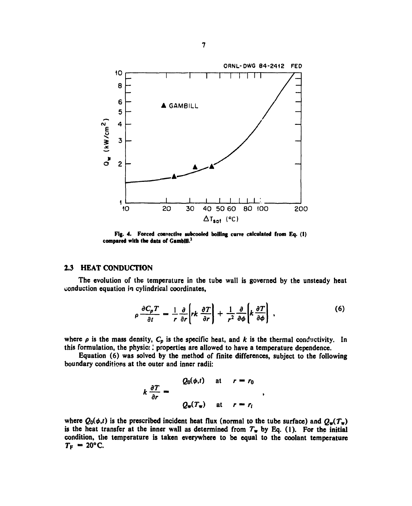

Fig. 4. Forced convective subcooled boiling curve calculated from Eq. (I) compared with the data of Gambill.<sup>2</sup>

## 2.3 HEAT CONDUCTION

The evolution of the temperature in the tube wall is governed by the unsteady heat conduction equation in cylindrical coordinates,

$$
\rho \frac{\partial C_{\rho} T}{\partial t} = \frac{1}{r} \frac{\partial}{\partial r} \left[ r k \frac{\partial T}{\partial r} \right] + \frac{1}{r^2} \frac{\partial}{\partial \phi} \left[ k \frac{\partial T}{\partial \phi} \right] \,, \tag{6}
$$

 $\bullet$ 

where  $\rho$  is the mass density,  $C_p$  is the specific heat, and k is the thermal conductivity. In this formulation, the physic; I properties are allowed to have a temperature dependence.

Equation (6) was solved by the method of finite differences, subject to the following boundary conditions at the outer and inner radii:

$$
k \frac{\partial T}{\partial r} = \begin{cases} Q_0(\phi, t) & \text{at} \quad r = r_0 \\ Q_w(T_w) & \text{at} \quad r = r_i \end{cases}
$$

where  $Q_0(\phi,t)$  is the prescribed incident heat flux (normal to the tube surface) and  $Q_{\mathbf{w}}(T_{\mathbf{w}})$ is the heat transfer at the inner wall as determined from  $T_w$  by Eq. (1). For the initial condition, the temperature is taken everywhere to be equal to the coolant temperature  $T_F = 20$ °C.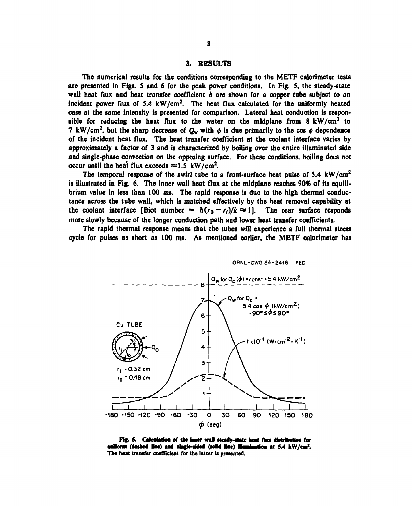## 3. RESULTS

The numerical results for the conditions corresponding to the METF calorimeter tests are presented in Figs. 5 and 6 for the peak power conditions. In Fig. 5, the steady-state wall heat flux and heat transfer coefficient *h* are shown for a copper tube subject to an incident power flux of *5.4* kW/cm<sup>2</sup> . The heat flux calculated for the uniformly heated case at the same intensity is presented for comparison. Lateral heat conduction is responsible for reducing the heat flux to the water on the midplane from  $8 \text{ kW/cm}^2$  to 7 kW/cm<sup>2</sup>, but the sharp decrease of  $Q_w$  with  $\phi$  is due primarily to the cos  $\phi$  dependence of the incident heat flux. The heat transfer coefficient at the coolant interface varies by approximately a factor of 3 and is characterized by boiling over the entire illuminated side and single-phase convection on the opposing surface. For these conditions, boiling docs not occur until the heat flux exceeds  $\approx 1.5$  kW/cm<sup>2</sup>.

The temporal response of the swirl tube to a front-surface heat pulse of 5.4  $\text{kW/cm}^2$ is illustrated in Fig. 6. The inner wall heat flux at the midplane reaches 90% of its equilibrium value in less than 100 ms. The rapid response is due to the high thermal conductance across the tube wall, which is matched effectively by the heat removal capability at the coolant interface [Biot number –  $h(r_0 - r_i)/k \approx 1$ ]. The rear surface responds more slowly because of the longer conduction path and lower heat transfer coefficients.

The rapid thermal response means that the tubes will experience a full thermal stress cycle for pulses as short as 100 ms. As mentioned earlier, the METF calorimeter has



Fig. 5. Calculation of the inner wall steady-state heat flux distribution for uniform (dashed line) and single-sided (solid line) illumination at *5.4* kW/cm<sup>2</sup>. **The heat transfer coefficient for the latter is presented.**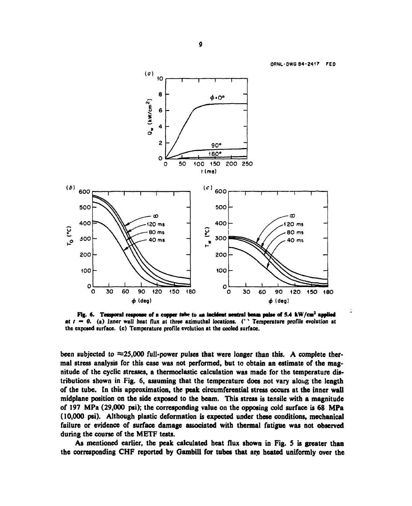**ORNL-DWG B4-2417 FED** 



Fig. 6. Temporal response of a copper twhe to an incident neutral beam pulse of 5.4 kW/cm<sup>2</sup> applied **at** *t* — 0. (a) Inner wall heat flux at three azimuthal locations. (' " Temperature profile evolution at the exposed surface, (c) Temperature profile evolution at the cooled surface.

been subjected to  $\approx$ 25,000 full-power pulses that were longer than this. A complete thermal stress analysis for this case was not performed, but to obtain an estimate of the magnitude of the cyclic stresses, a thermoelastic calculation was made for the temperature distributions shown in Fig. 6, assuming that the temperature does not vary along the length of the tube. In this approximation, the peak circumferential stress occurs at the inner wall midplane position on the side exposed to the beam. This stress is tensile with a magnitude of 197 MPa (29,000 psi); the corresponding value on the opposing cold surface is 68 MPa (10,000 psi). Although plastic deformation is expected under these conditions, mechanical failure or evidence of surface damage associated with thermal fatigue was not observed during the course of the METF tests.

As mentioned earlier, the peak calculated heat flux shown in Fig. S is greater than the corresponding CHF reported by Gambill for tubes that are heated uniformly over the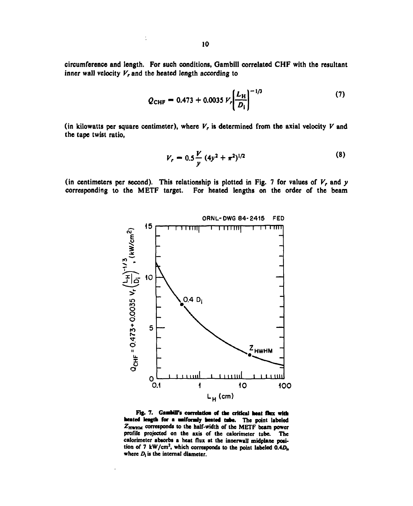circumference and length. For such conditions, Gambill correlated CHF with the resultant inner wall velocity  $V_r$  and the heated length according to

$$
Q_{\text{CHF}} = 0.473 + 0.0035 V_r \left(\frac{L_{\text{H}}}{D_{\text{i}}}\right)^{-1/3} \tag{7}
$$

(in kilowatts per square centimeter), where  $V_r$  is determined from the axial velocity  $V$  and the tape twist ratio,

$$
V_r = 0.5 \frac{V}{y} (4y^2 + \pi^2)^{1/2}
$$
 (8)

(in centimeters per second). This relationship is plotted in Fig. 7 for values of  $V_r$ , and  $y$ corresponding to the METF target. For heated lengths on the order of the beam



Fig. 7. Gambill's correlation of the critical heat flux with heated length for a uniformly heated tube. The point labeled ZHWHM corresponds to the half-width of the METF beam power profile projected on the axis of the calorimeter tube. The calorimeter absorbs a heat flux at the innerwall midplane position of 7 kW/cm<sup>2</sup>, which corresponds to the point labeled  $0.4D_h$ where  $D_i$  is the internal diameter.

ł,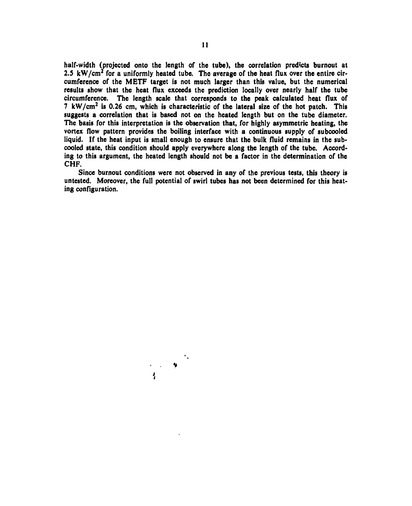half-width (projected onto the length of the tube), the correlation predicts burnout at 2.5 kW/cm<sup>2</sup> for a uniformly heated tube. The average of the heat flux over the entire circumference of the METF target is not much larger than this value, but the numerical results show that the heat flux exceeds the prediction locally over nearly half the tube circumference. The length scale that corresponds to the peak calculated heat flux of  $7 \text{ kW/cm}^2$  is 0.26 cm, which is characteristic of the lateral size of the hot patch. This suggests a correlation that is based not on the heated length but on the tube diameter. The basis for this interpretation is the observation that, for highly asymmetric heating, the vortex flow pattern provides the boiling interface with a continuous supply of subcooled liquid. If the heat input is small enough to ensure that the bulk fluid remains in the subcooled state, this condition should apply everywhere along the length of the tube. According to this argument, the heated length should not be a factor in the determination of the **CHF.** 

Since burnout conditions were not observed in any of the previous tests, this theory is untested. Moreover, the full potential of swirl tubes has not been determined for this heating configuration.

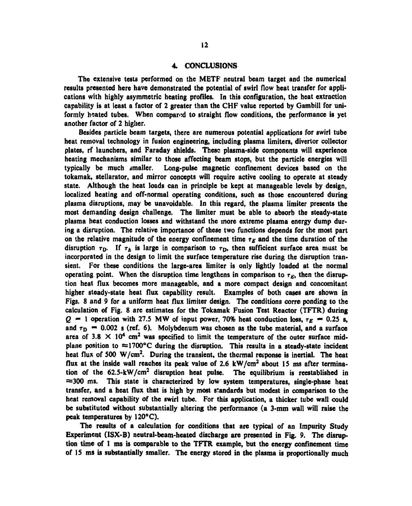#### 4. CONCLUSIONS

The extensive tests performed on the METP neutral beam target and the numerical results presented here have demonstrated the potential of swirl flow heat transfer for applications with highly asymmetric heating profiles. In this configuration, the heat extraction capability is at least a factor of 2 greater than the CHF value reported by Oambill for uniformly heated tubes. When compared to straight flow conditions, the performance is yet another factor of 2 higher.

Besides particle beam targets, there are numerous potential applications for swirl tube heat removal technology in fusion engineering, including plasma limiters, divertor collector plates, rf launchers, and Faraday shields. These plasma-side components will experience heating mechanisms similar to those affecting beam stops, but the particle energies will typically be much smaller. Long-pulse magnetic confinement devices based on the tokamak, stellarator, and mirror concepts will require active cooling to operate at steady state. Although the heat loads can in principle be kept at manageable levels by design, localized heating and off-normal operating conditions, such as those encountered during plasma disruptions, may be unavoidable. In this regard, the plasma limiter presents the most demanding design challenge. The limiter must be able to absorb the steady-state plasma heat conduction losses and withstand the more extreme plasma energy dump during a disruption. The relative importance of these two functions depends for the most part on the relative magnitude of the energy confinement time  $r_E$  and the time duration of the disruption  $\tau_D$ . If  $\tau_E$  is large in comparison to  $\tau_D$ , then sufficient surface area must be incorporated in the design to limit the surface temperature rise during the disruption transient. For these conditions the large-area limiter is only lightly loaded at the normal operating point. When the disruption time lengthens in comparison to  $\tau_E$ , then the disruption heat flux becomes more manageable, and a more compact design and concomitant higher steady-state heat flux capability result. Examples of both cases are shown in Figs. 8 and 9 for a uniform heat flux limiter design. The conditions corre ponding to the calculation of Fig. 8 are estimates for the Tokamak Fusion Test Reactor (TFTR) during  $Q = 1$  operation with 27.5 MW of input power, 70% heat conduction loss,  $\tau_E = 0.25$  s, and  $\tau_D$   $\sim$  0.002 s (ref. 6). Molybdenum was chosen as the tube material, and a surface area of 3.8  $\times$  10<sup>4</sup> cm<sup>2</sup> was specified to limit the temperature of the outer surface midplane position to  $\approx$ 1700°C during the disruption. This results in a steady-state incident heat flux of 500 W/cm<sup>2</sup>. During the transient, the thermal response is inertial. The heat flux at the inside wall reaches its peak value of 2.6  $kW/cm^2$  about 15 ms after termination of the  $62.5\text{-}kW/cm^2$  disruption heat pulse. The equilibrium is reestablished in  $\approx$  300 ms. This state is characterized by low system temperatures, single-phase heat transfer, and a heat flux that is high by most standards but modest in comparison to the heat removal capability of the swirl tube. For this application, a thicker tube wall could be substituted without substantially altering the performance (a 3-mm wall will raise the peak temperatures by 120°C).

The results of a calculation for conditions that are typical of an Impurity Study Experiment (ISX-B) neutral-beam-heated discharge are presented in Fig. 9. The disruption time of 1 ms is comparable to the TFTR example, but the energy confinement time of 15 ms is substantially smaller. The energy stored in the plasma is proportionally much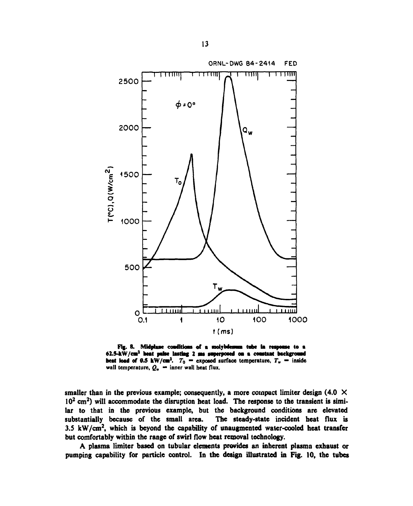

Fig. 8. Midplane conditions of a molybdesum tabe in response to a 62.5-kW/cm1 heat pake lasting 2 an sapcrposed oa a coastaat bsckgrooad heat load of 0.5 kW/cm<sup>2</sup>.  $T_0$  = exposed surface temperature,  $T_w$  = inside wall temperature,  $Q_w$  = inner wall heat flux.

smaller than in the previous example; consequently, a more compact limiter design  $(4.0 \times$  $10<sup>2</sup>$  cm<sup>2</sup>) will accommodate the disruption heat load. The response to the transient is similar to that in the previous example, but the background conditions are elevated substantially because of the small area. The steady-state incident heat flux is 3.5  $kW/cm<sup>2</sup>$ , which is beyond the capability of unaugmented water-cooled heat transfer but comfortably within the range of swirl flow beat removal technology.

A plasma limiter based on tubular elements provides an inherent plasma exhaust or pumping capability for particle control. In the design illustrated in Fig. **10,** the tubes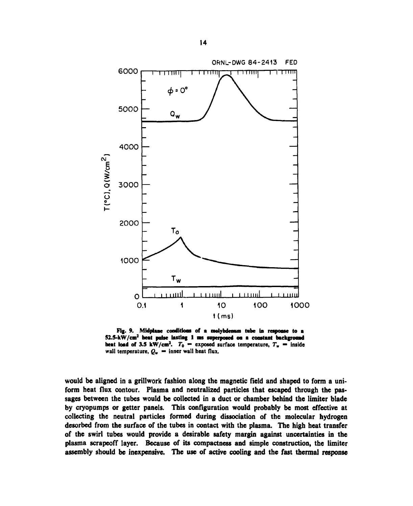

Fig. 9. Midplane conditions of a molybdenum tube in response to a 52.5-kW/cm1 beat pulse lasting 1 ms superposed oa a constant background heat load of 3.5 kW/cm<sup>2</sup>.  $T_0$  = exposed surface temperature,  $T_m$  = inside wall temperature,  $Q_{\rm w}$  — inner wall heat flux.

would be aligned in a grillwork fashion along the magnetic field and shaped to form a uniform heat flux contour. Plasma and neutralized particles that escaped through the passages between the tubes would be collected in a duct or chamber behind the limiter blade by cryopumps or getter panels. This configuration would probably be most effective at collecting the neutral particles formed during dissociation of the molecular hydrogen desorbed from the surface of the tubes in contact with the plasma. The high heat transfer of the swirl tubes would provide a desirable safety margin against uncertainties in the plasma scrapeoff layer. Because of its compactness and simple construction, the limiter assembly should be inexpensive. The use of active cooling and the fast thermal response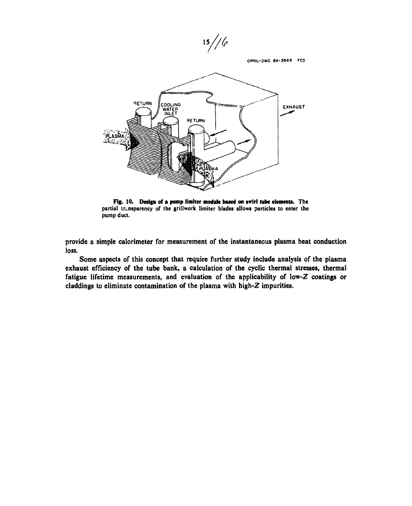$15 // 6$ 

ORNL-DWG 84-2649 FED



Fig. 10. Design of a pump limlter module based on swirl tube elements. The partial transparency of the grillwork limiter blades allows particles to enter the pump duct.

provide a simple calorimeter for measurement of the instantaneous plasma heat conduction loss.

Some aspects of this concept that require further study include analysis of the plasma exhaust efficiency of the tube bank, a calculation of the cyclic thermal stresses, thermal fatigue lifetime measurements, and evaluation of the applicability of low-Z coatings or claddings to eliminate contamination of the plasma with high-Z impurities.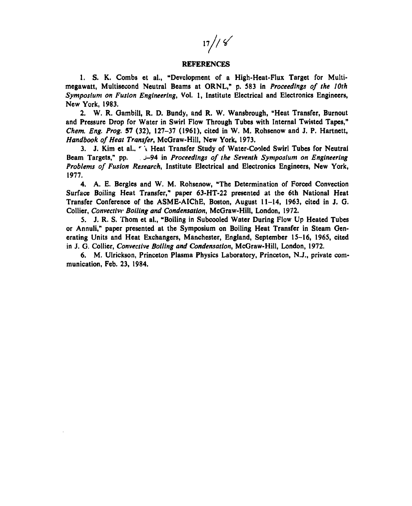$17// 8$ 

#### REFERENCES

1. S. K. Combs et al., "Development of a High-Heat-Flux Target for Multimegawatt, Multisecond Neutral Beams at ORNL," p. 583 in *Proceedings of the 10th Symposium on Fusion Engineering*, Vol. 1, Institute Electrical and Electronics Engineers, New York, 1983.

2. W. R. Gambill, R. D. Bundy, and R. W. Wansbrough, "Heat Transfer, Burnout and Pressure Drop for Water in Swirl Flow Through Tubes with Internal Twisted Tapes," *Chem. Eng. Prog.* 57 (32), 127-37 (1961), cited in W. M. Rohsenow and J. P. Hartnett, *Handbook of Heat Transfer*, McGraw-Hill, New York, 1973.

3. J. Kim et al., " i Heat Transfer Study of Water-Cooled Swirl Tubes for Neutral Beam Targets," pp. j-94 in *Proceedings of the Seventh Symposium on Engineering Problems of Fusion Research,* Institute Electrical and Electronics Engineers, New York, 1977.

4. A. E. Bergles and W. M. Rohsenow, "The Determination of Forced Convection Surface Boiling Heat Transfer," paper 63-HT-22 presented at the 6th National Heat Transfer Conference of the ASME-AIChE, Boston, August 11-14, 1963, cited in J. G. Collier, *Convectivv Boiling and Condensation,* McGraw-Hill, London, 1972.

5. J. R. S. Thorn et al., "Boiling in Subcooled Water During Flow Up Heated Tubes or Annuli," paper presented at the Symposium on Boiling Heat Transfer in Steam Generating Units and Heat Exchangers, Manchester, England, September 15-16, 1965, cited in J. G. Collier, *Convective Boiling and Condensation,* McGraw-Hill, London, 1972.

6. M. Ulrickson, Princeton Plasma Physics Laboratory, Princeton, N.J., private communication, Feb. 23, 1984.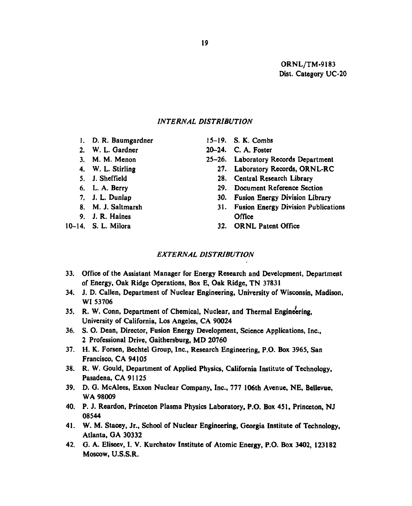ORNL/TM-9183 Dist. Category UC-20

## *INTERNAL DISTRIBUTION*

- 1. D. R. Baumgardner 15-19. S. K. Combs
- 
- 
- 
- 
- 
- 
- 
- 9. J. R. Haines Office

- 
- 2. W. L. Gardner 20-24. C. A. Foster
- 3. M. M. Menon 25-26. Laboratory Records Department
- 4. W. L. Stirling 27. Laboratory Records, ORNL-RC
- 5. J. Sheffield 28. Central Research Library
- 6. L. A. Berry 29. Document Reference Section
- 7. J. L. Dunlap 30. Fusion Energy Division Library
- 8. M. J. Saltmarsh 31. Fusion Energy Division Publications
- 10-14. S. L. Milora 32. ORNL Patent Office

## *EXTERNAL DISTRIBUTION*

- 33. Office of the Assistant Manager for Energy Research and Development, Department of Energy, Oak Ridge Operations, Box E, Oak Ridge, TN 37831
- 34. J. D. Callen, Department of Nuclear Engineering, University of Wisconsin, Madison, Wl 53706
- 35. R. W. Conn, Department of Chemical, Nuclear, and Thermal Engineering, University of California, Los Angeles, CA 90024
- 36. S. O. Dean, Director, Fusion Energy Development, Science Applications, Inc., 2 Professional Drive, Gaithersburg, MD 20760
- 37. H. K. Forsen, Bechtel Group, Inc., Research Engineering, P.O. Box 3965, San Francisco, CA 94105
- 38. R. W. Gould, Department of Applied Physics, California Institute of Technology, Pasadena, CA 91125
- 39. D. G. McAlees, Exxon Nuclear Company, Inc., 777 106th Avenue, NE, Bellevue, WA 98009
- 40. P. J. Reardon, Princeton Plasma Physics Laboratory, P.O. Box 451, Princeton, NJ 08544
- 41. W. M. Stacey, Jr., School of Nuclear Engineering, Georgia Institute of Technology, Atlanta, GA 30332
- 42. G. A. Eliseev, I. V. Kurchatov Institute of Atomic Energy, P.O. Box 3402, 123182 Moscow, U.S.S.R.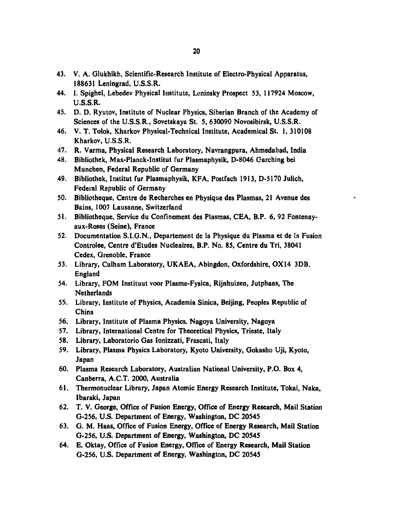- 43. V. A. Glukhikh, Scientific-Research Institute of Electro-Physical Apparatus, 188631 Leningrad, U.S.S.R.
- 44. I. Spighel, Lebedev Physical Institute, Lcninsky Prospect 53, 117924 Moscow, U.S.S.R.
- 45. D. D. Ryutov, Institute of Nuclear Physics, Siberian Branch of the Academy of Sciences of the U.S.S.R., Sovetskaya St. 5, 630090 Novosibirsk, U.S.S.R.
- 46. V. T. Tolok, Kharkov Physical-Technical Institute, Academical St. 1, 310108 Kharkov, U.S.S.R.
- 47. R. Varma, Physical Research Laboratory, Navrangpura, Ahmedabad, India
- 48. Bibliothek, Max-Planck-Institut fur Plasmaphysik, D-8046 Garching bei Munchen, Federal Republic of Germany
- 49. Bibliothek, Institut fur Plasmaphysik, KFA, Postfach 1913, D-5170 Julich, Federal Republic of Germany
- 50. Bibliotheque, Centre de Recherches en Physique des Plasmas, 21 Avenue des Bains, 1007 Lausanne, Switzerland
- 51. Bibliotheque, Service du Confinement des Plasmas, CEA, B.P. 6, 92 Fontenayaux-Roses (Seine), France
- 52. Documentation S.I.G.N., Departement de la Physique du Plasma et de la Fusion Controlee, Centre d'Etudes Nucleaires, B.P. No. 85, Centre du Tri, 38041 Cedex, Grenoble, France
- 53. Library, Culham Laboratory, UKAEA, Abingdon, Oxfordshire, OX 14 3DB, England
- 54. Library, FOM Instituut voor Plasma-Fysica, Rijnhuizen, Jutphaas, The Netherlands
- 55. Library, Institute of Physics, Academia Sinica, Beijing, Peoples Republic of China
- 56. Library, Institute of Plasma Physics, Nagoya University, Nagoya
- 57. Library, International Centre for Theoretical Physics, Trieste, Italy
- 58. Library, Laboratorio Gas Ionizzati, Frascati, Italy
- 59. Library, Plasma Physics Laboratory, Kyoto University, Gokasho Uji, Kyoto, Japan
- 60. Plasma Research Laboratory, Australian National University, P.O. Box 4, Canberra, A.C.T. 2000, Australia
- 61. Thermonuclear Library, Japan Atomic Energy Research Institute, Tokai, Naka, Ibaraki, Japan
- 62. T. V. George, Office of Fusion Energy, Office of Energy Research, Mail Station G-256, U.S. Department of Energy, Washington, DC 20545
- 63. G. M. Haas, Office of Fusion Energy, Office of Energy Research, Mail Station G-256, U.S. Department of Energy, Washington, DC 20545
- 64. E. Oktay, Office of Fusion Energy, Office of Energy Research, Mail Station G-256, U.S. Department of Energy, Washington, DC 20545